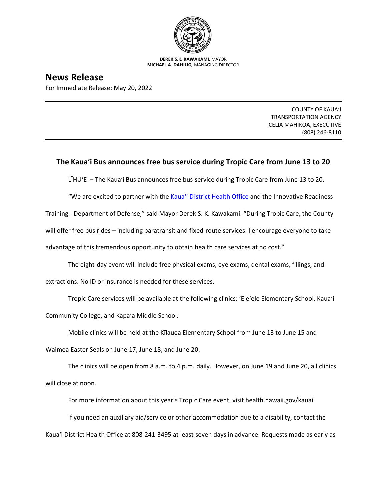

**DEREK S.K. KAWAKAMI,** MAYOR **MICHAEL A. DAHILIG,** MANAGING DIRECTOR

## **News Release**

For Immediate Release: May 20, 2022

COUNTY OF KAUA'I TRANSPORTATION AGENCY CELIA MAHIKOA, EXECUTIVE (808) 246-8110

## **The Kaua'i Bus announces free bus service during Tropic Care from June 13 to 20**

LĪHU'E – The Kaua'i Bus announces free bus service during Tropic Care from June 13 to 20.

"We are excited to partner with the Kaua'i D[istrict Health Office](https://health.hawaii.gov/kauai/) and the Innovative Readiness

Training - Department of Defense," said Mayor Derek S. K. Kawakami. "During Tropic Care, the County

will offer free bus rides – including paratransit and fixed-route services. I encourage everyone to take

advantage of this tremendous opportunity to obtain health care services at no cost."

The eight-day event will include free physical exams, eye exams, dental exams, fillings, and extractions. No ID or insurance is needed for these services.

Tropic Care services will be available at the following clinics: ʻEleʻele Elementary School, Kauaʻi Community College, and Kapaʻa Middle School.

Mobile clinics will be held at the Kīlauea Elementary School from June 13 to June 15 and

Waimea Easter Seals on June 17, June 18, and June 20.

The clinics will be open from 8 a.m. to 4 p.m. daily. However, on June 19 and June 20, all clinics will close at noon.

For more information about this year's Tropic Care event, visit health.hawaii.gov/kauai.

If you need an auxiliary aid/service or other accommodation due to a disability, contact the Kaua'i District Health Office at 808-241-3495 at least seven days in advance. Requests made as early as